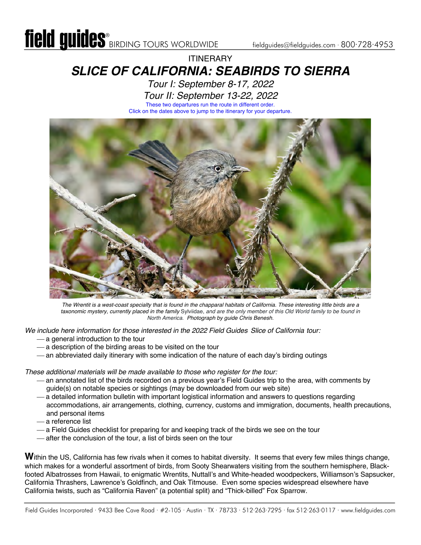## **ITINFRARY** *SLICE OF CALIFORNIA: SEABIRDS TO SIERRA*

*[Tour I: September 8-17, 2022](#page-4-0) [Tour II: September 13-22, 2022](#page-6-0)* These two departures run the route in different order. Click on the dates above to jump to the itinerary for your departure.



*The Wrentit is a west-coast specialty that is found in the chapparal habitats of California. These interesting little birds are a taxonomic mystery, currently placed in the family* Sylviidae, *and are the only member of this Old World family to be found in North America. Photograph by guide Chris Benesh.*

*We include here information for those interested in the 2022 Field Guides Slice of California tour:*

- $-$  a general introduction to the tour
- $-$  a description of the birding areas to be visited on the tour
- an abbreviated daily itinerary with some indication of the nature of each day's birding outings

*These additional materials will be made available to those who register for the tour:*

- ¾ an annotated list of the birds recorded on a previous year's Field Guides trip to the area, with comments by guide(s) on notable species or sightings (may be downloaded from our web site)
- $-$  a detailed information bulletin with important logistical information and answers to questions regarding accommodations, air arrangements, clothing, currency, customs and immigration, documents, health precautions, and personal items
- ¾ a reference list
- ¾ a Field Guides checklist for preparing for and keeping track of the birds we see on the tour
- ¾ after the conclusion of the tour, a list of birds seen on the tour

Within the US, California has few rivals when it comes to habitat diversity. It seems that every few miles things change, which makes for a wonderful assortment of birds, from Sooty Shearwaters visiting from the southern hemisphere, Blackfooted Albatrosses from Hawaii, to enigmatic Wrentits, Nuttall's and White-headed woodpeckers, Williamson's Sapsucker, California Thrashers, Lawrence's Goldfinch, and Oak Titmouse. Even some species widespread elsewhere have California twists, such as "California Raven" (a potential split) and "Thick-billed" Fox Sparrow.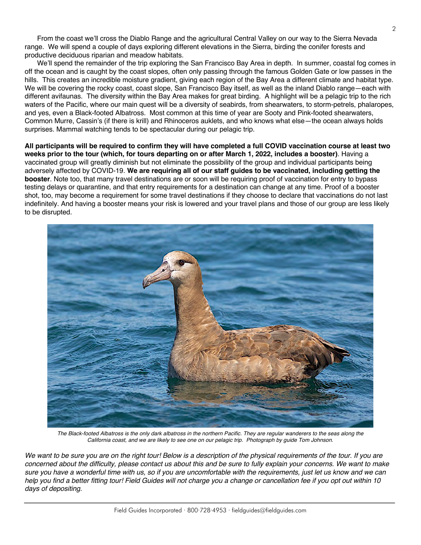From the coast we'll cross the Diablo Range and the agricultural Central Valley on our way to the Sierra Nevada range. We will spend a couple of days exploring different elevations in the Sierra, birding the conifer forests and productive deciduous riparian and meadow habitats.

We'll spend the remainder of the trip exploring the San Francisco Bay Area in depth. In summer, coastal fog comes in off the ocean and is caught by the coast slopes, often only passing through the famous Golden Gate or low passes in the hills. This creates an incredible moisture gradient, giving each region of the Bay Area a different climate and habitat type. We will be covering the rocky coast, coast slope, San Francisco Bay itself, as well as the inland Diablo range—each with different avifaunas. The diversity within the Bay Area makes for great birding. A highlight will be a pelagic trip to the rich waters of the Pacific, where our main quest will be a diversity of seabirds, from shearwaters, to storm-petrels, phalaropes, and yes, even a Black-footed Albatross. Most common at this time of year are Sooty and Pink-footed shearwaters, Common Murre, Cassin's (if there is krill) and Rhinoceros auklets, and who knows what else—the ocean always holds surprises. Mammal watching tends to be spectacular during our pelagic trip.

**All participants will be required to confirm they will have completed a full COVID vaccination course at least two weeks prior to the tour (which, for tours departing on or after March 1, 2022, includes a booster)**. Having a vaccinated group will greatly diminish but not eliminate the possibility of the group and individual participants being adversely affected by COVID-19. **We are requiring all of our staff guides to be vaccinated, including getting the booster**. Note too, that many travel destinations are or soon will be requiring proof of vaccination for entry to bypass testing delays or quarantine, and that entry requirements for a destination can change at any time. Proof of a booster shot, too, may become a requirement for some travel destinations if they choose to declare that vaccinations do not last indefinitely. And having a booster means your risk is lowered and your travel plans and those of our group are less likely to be disrupted.



*The Black-footed Albatross is the only dark albatross in the northern Pacific. They are regular wanderers to the seas along the California coast, and we are likely to see one on our pelagic trip. Photograph by guide Tom Johnson.*

*We want to be sure you are on the right tour! Below is a description of the physical requirements of the tour. If you are concerned about the difficulty, please contact us about this and be sure to fully explain your concerns. We want to make sure you have a wonderful time with us, so if you are uncomfortable with the requirements, just let us know and we can help you find a better fitting tour! Field Guides will not charge you a change or cancellation fee if you opt out within 10 days of depositing.*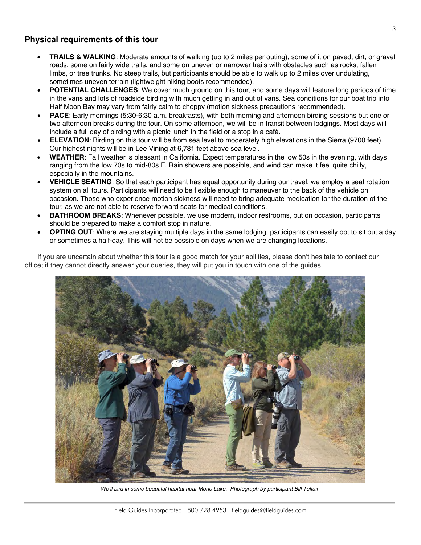#### **Physical requirements of this tour**

- **TRAILS & WALKING**: Moderate amounts of walking (up to 2 miles per outing), some of it on paved, dirt, or gravel roads, some on fairly wide trails, and some on uneven or narrower trails with obstacles such as rocks, fallen limbs, or tree trunks. No steep trails, but participants should be able to walk up to 2 miles over undulating, sometimes uneven terrain (lightweight hiking boots recommended).
- **POTENTIAL CHALLENGES**: We cover much ground on this tour, and some days will feature long periods of time in the vans and lots of roadside birding with much getting in and out of vans. Sea conditions for our boat trip into Half Moon Bay may vary from fairly calm to choppy (motion sickness precautions recommended).
- **PACE**: Early mornings (5:30-6:30 a.m. breakfasts), with both morning and afternoon birding sessions but one or two afternoon breaks during the tour. On some afternoon, we will be in transit between lodgings. Most days will include a full day of birding with a picnic lunch in the field or a stop in a café.
- **ELEVATION**: Birding on this tour will be from sea level to moderately high elevations in the Sierra (9700 feet). Our highest nights will be in Lee Vining at 6,781 feet above sea level.
- **WEATHER**: Fall weather is pleasant in California. Expect temperatures in the low 50s in the evening, with days ranging from the low 70s to mid-80s F. Rain showers are possible, and wind can make it feel quite chilly, especially in the mountains.
- **VEHICLE SEATING**: So that each participant has equal opportunity during our travel, we employ a seat rotation system on all tours. Participants will need to be flexible enough to maneuver to the back of the vehicle on occasion. Those who experience motion sickness will need to bring adequate medication for the duration of the tour, as we are not able to reserve forward seats for medical conditions.
- **BATHROOM BREAKS**: Whenever possible, we use modern, indoor restrooms, but on occasion, participants should be prepared to make a comfort stop in nature.
- **OPTING OUT**: Where we are staying multiple days in the same lodging, participants can easily opt to sit out a day or sometimes a half-day. This will not be possible on days when we are changing locations.

If you are uncertain about whether this tour is a good match for your abilities, please don't hesitate to contact our office; if they cannot directly answer your queries, they will put you in touch with one of the guides



*We'll bird in some beautiful habitat near Mono Lake. Photograph by participant Bill Telfair.*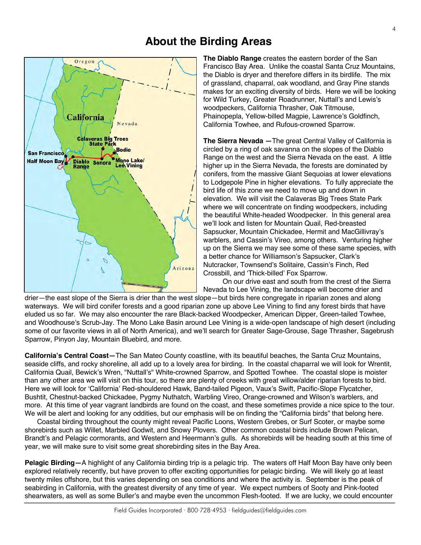#### **About the Birding Areas**



**The Diablo Range** creates the eastern border of the San Francisco Bay Area. Unlike the coastal Santa Cruz Mountains, the Diablo is dryer and therefore differs in its birdlife. The mix of grassland, chaparral, oak woodland, and Gray Pine stands makes for an exciting diversity of birds. Here we will be looking for Wild Turkey, Greater Roadrunner, Nuttall's and Lewis's woodpeckers, California Thrasher, Oak Titmouse, Phainopepla, Yellow-billed Magpie, Lawrence's Goldfinch, California Towhee, and Rufous-crowned Sparrow.

**The Sierra Nevada —**The great Central Valley of California is circled by a ring of oak savanna on the slopes of the Diablo Range on the west and the Sierra Nevada on the east. A little higher up in the Sierra Nevada, the forests are dominated by conifers, from the massive Giant Sequoias at lower elevations to Lodgepole Pine in higher elevations. To fully appreciate the bird life of this zone we need to move up and down in elevation. We will visit the Calaveras Big Trees State Park where we will concentrate on finding woodpeckers, including the beautiful White-headed Woodpecker. In this general area we'll look and listen for Mountain Quail, Red-breasted Sapsucker, Mountain Chickadee, Hermit and MacGillivray's warblers, and Cassin's Vireo, among others. Venturing higher up on the Sierra we may see some of these same species, with a better chance for Williamson's Sapsucker, Clark's Nutcracker, Townsend's Solitaire, Cassin's Finch, Red Crossbill, and 'Thick-billed' Fox Sparrow.

On our drive east and south from the crest of the Sierra Nevada to Lee Vining, the landscape will become drier and

drier—the east slope of the Sierra is drier than the west slope—but birds here congregate in riparian zones and along waterways. We will bird conifer forests and a good riparian zone up above Lee Vining to find any forest birds that have eluded us so far. We may also encounter the rare Black-backed Woodpecker, American Dipper, Green-tailed Towhee, and Woodhouse's Scrub-Jay. The Mono Lake Basin around Lee Vining is a wide-open landscape of high desert (including some of our favorite views in all of North America), and we'll search for Greater Sage-Grouse, Sage Thrasher, Sagebrush Sparrow, Pinyon Jay, Mountain Bluebird, and more.

**California's Central Coast—**The San Mateo County coastline, with its beautiful beaches, the Santa Cruz Mountains, seaside cliffs, and rocky shoreline, all add up to a lovely area for birding. In the coastal chaparral we will look for Wrentit, California Quail, Bewick's Wren, "Nuttall's" White-crowned Sparrow, and Spotted Towhee. The coastal slope is moister than any other area we will visit on this tour, so there are plenty of creeks with great willow/alder riparian forests to bird. Here we will look for 'California' Red-shouldered Hawk, Band-tailed Pigeon, Vaux's Swift, Pacific-Slope Flycatcher, Bushtit, Chestnut-backed Chickadee, Pygmy Nuthatch, Warbling Vireo, Orange-crowned and Wilson's warblers, and more. At this time of year vagrant landbirds are found on the coast, and these sometimes provide a nice spice to the tour. We will be alert and looking for any oddities, but our emphasis will be on finding the "California birds" that belong here.

Coastal birding throughout the county might reveal Pacific Loons, Western Grebes, or Surf Scoter, or maybe some shorebirds such as Willet, Marbled Godwit, and Snowy Plovers. Other common coastal birds include Brown Pelican, Brandt's and Pelagic cormorants, and Western and Heermann's gulls. As shorebirds will be heading south at this time of year, we will make sure to visit some great shorebirding sites in the Bay Area.

**Pelagic Birding—**A highlight of any California birding trip is a pelagic trip. The waters off Half Moon Bay have only been explored relatively recently, but have proven to offer exciting opportunities for pelagic birding. We will likely go at least twenty miles offshore, but this varies depending on sea conditions and where the activity is. September is the peak of seabirding in California, with the greatest diversity of any time of year. We expect numbers of Sooty and Pink-footed shearwaters, as well as some Buller's and maybe even the uncommon Flesh-footed. If we are lucky, we could encounter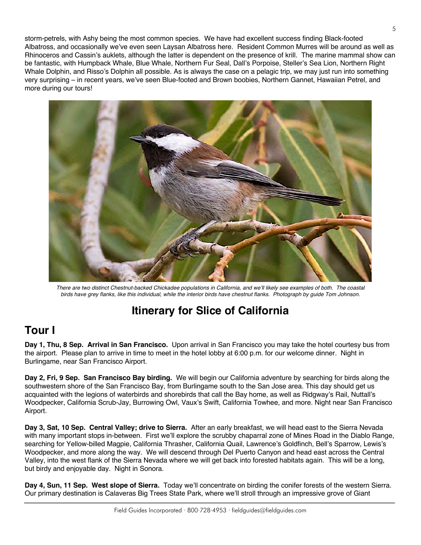<span id="page-4-0"></span>storm-petrels, with Ashy being the most common species. We have had excellent success finding Black-footed Albatross, and occasionally we've even seen Laysan Albatross here. Resident Common Murres will be around as well as Rhinoceros and Cassin's auklets, although the latter is dependent on the presence of krill. The marine mammal show can be fantastic, with Humpback Whale, Blue Whale, Northern Fur Seal, Dall's Porpoise, Steller's Sea Lion, Northern Right Whale Dolphin, and Risso's Dolphin all possible. As is always the case on a pelagic trip, we may just run into something very surprising – in recent years, we've seen Blue-footed and Brown boobies, Northern Gannet, Hawaiian Petrel, and more during our tours!



*There are two distinct Chestnut-backed Chickadee populations in California, and we'll likely see examples of both. The coastal birds have grey flanks, like this individual, while the interior birds have chestnut flanks. Photograph by guide Tom Johnson.*

# **Itinerary for Slice of California**

## **Tour I**

**Day 1, Thu, 8 Sep. Arrival in San Francisco.** Upon arrival in San Francisco you may take the hotel courtesy bus from the airport. Please plan to arrive in time to meet in the hotel lobby at 6:00 p.m. for our welcome dinner. Night in Burlingame, near San Francisco Airport.

**Day 2, Fri, 9 Sep. San Francisco Bay birding.** We will begin our California adventure by searching for birds along the southwestern shore of the San Francisco Bay, from Burlingame south to the San Jose area. This day should get us acquainted with the legions of waterbirds and shorebirds that call the Bay home, as well as Ridgway's Rail, Nuttall's Woodpecker, California Scrub-Jay, Burrowing Owl, Vaux's Swift, California Towhee, and more. Night near San Francisco Airport.

**Day 3, Sat, 10 Sep. Central Valley; drive to Sierra.** After an early breakfast, we will head east to the Sierra Nevada with many important stops in-between. First we'll explore the scrubby chaparral zone of Mines Road in the Diablo Range, searching for Yellow-billed Magpie, California Thrasher, California Quail, Lawrence's Goldfinch, Bell's Sparrow, Lewis's Woodpecker, and more along the way. We will descend through Del Puerto Canyon and head east across the Central Valley, into the west flank of the Sierra Nevada where we will get back into forested habitats again. This will be a long, but birdy and enjoyable day. Night in Sonora.

**Day 4, Sun, 11 Sep. West slope of Sierra.** Today we'll concentrate on birding the conifer forests of the western Sierra. Our primary destination is Calaveras Big Trees State Park, where we'll stroll through an impressive grove of Giant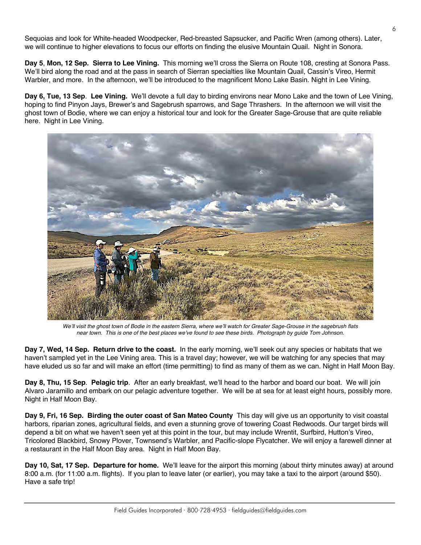Sequoias and look for White-headed Woodpecker, Red-breasted Sapsucker, and Pacific Wren (among others). Later, we will continue to higher elevations to focus our efforts on finding the elusive Mountain Quail. Night in Sonora.

**Day 5**, **Mon, 12 Sep. Sierra to Lee Vining.** This morning we'll cross the Sierra on Route 108, cresting at Sonora Pass. We'll bird along the road and at the pass in search of Sierran specialties like Mountain Quail, Cassin's Vireo, Hermit Warbler, and more. In the afternoon, we'll be introduced to the magnificent Mono Lake Basin. Night in Lee Vining.

**Day 6, Tue, 13 Sep**. **Lee Vining.** We'll devote a full day to birding environs near Mono Lake and the town of Lee Vining, hoping to find Pinyon Jays, Brewer's and Sagebrush sparrows, and Sage Thrashers. In the afternoon we will visit the ghost town of Bodie, where we can enjoy a historical tour and look for the Greater Sage-Grouse that are quite reliable here. Night in Lee Vining.



*We'll visit the ghost town of Bodie in the eastern Sierra, where we'll watch for Greater Sage-Grouse in the sagebrush flats near town. This is one of the best places we've found to see these birds. Photograph by guide Tom Johnson.*

**Day 7, Wed, 14 Sep. Return drive to the coast.** In the early morning, we'll seek out any species or habitats that we haven't sampled yet in the Lee Vining area. This is a travel day; however, we will be watching for any species that may have eluded us so far and will make an effort (time permitting) to find as many of them as we can. Night in Half Moon Bay.

**Day 8, Thu, 15 Sep**. **Pelagic trip**. After an early breakfast, we'll head to the harbor and board our boat. We will join Alvaro Jaramillo and embark on our pelagic adventure together. We will be at sea for at least eight hours, possibly more. Night in Half Moon Bay.

**Day 9, Fri, 16 Sep. Birding the outer coast of San Mateo County** This day will give us an opportunity to visit coastal harbors, riparian zones, agricultural fields, and even a stunning grove of towering Coast Redwoods. Our target birds will depend a bit on what we haven't seen yet at this point in the tour, but may include Wrentit, Surfbird, Hutton's Vireo, Tricolored Blackbird, Snowy Plover, Townsend's Warbler, and Pacific-slope Flycatcher. We will enjoy a farewell dinner at a restaurant in the Half Moon Bay area. Night in Half Moon Bay.

**Day 10, Sat, 17 Sep. Departure for home.** We'll leave for the airport this morning (about thirty minutes away) at around 8:00 a.m. (for 11:00 a.m. flights). If you plan to leave later (or earlier), you may take a taxi to the airport (around \$50). Have a safe trip!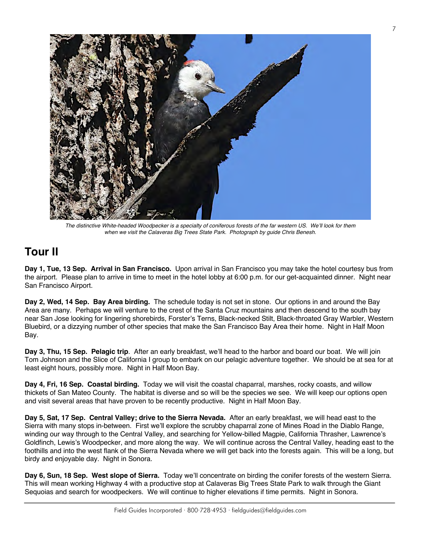<span id="page-6-0"></span>

*The distinctive White-headed Woodpecker is a specialty of coniferous forests of the far western US. We'll look for them when we visit the Calaveras Big Trees State Park. Photograph by guide Chris Benesh.*

## **Tour II**

**Day 1, Tue, 13 Sep. Arrival in San Francisco.** Upon arrival in San Francisco you may take the hotel courtesy bus from the airport. Please plan to arrive in time to meet in the hotel lobby at 6:00 p.m. for our get-acquainted dinner. Night near San Francisco Airport.

**Day 2, Wed, 14 Sep. Bay Area birding.** The schedule today is not set in stone. Our options in and around the Bay Area are many. Perhaps we will venture to the crest of the Santa Cruz mountains and then descend to the south bay near San Jose looking for lingering shorebirds, Forster's Terns, Black-necked Stilt, Black-throated Gray Warbler, Western Bluebird, or a dizzying number of other species that make the San Francisco Bay Area their home. Night in Half Moon Bay.

**Day 3, Thu, 15 Sep. Pelagic trip**. After an early breakfast, we'll head to the harbor and board our boat. We will join Tom Johnson and the Slice of California I group to embark on our pelagic adventure together. We should be at sea for at least eight hours, possibly more. Night in Half Moon Bay.

**Day 4, Fri, 16 Sep. Coastal birding.** Today we will visit the coastal chaparral, marshes, rocky coasts, and willow thickets of San Mateo County. The habitat is diverse and so will be the species we see. We will keep our options open and visit several areas that have proven to be recently productive. Night in Half Moon Bay.

**Day 5, Sat, 17 Sep. Central Valley; drive to the Sierra Nevada.** After an early breakfast, we will head east to the Sierra with many stops in-between. First we'll explore the scrubby chaparral zone of Mines Road in the Diablo Range, winding our way through to the Central Valley, and searching for Yellow-billed Magpie, California Thrasher, Lawrence's Goldfinch, Lewis's Woodpecker, and more along the way. We will continue across the Central Valley, heading east to the foothills and into the west flank of the Sierra Nevada where we will get back into the forests again. This will be a long, but birdy and enjoyable day. Night in Sonora.

**Day 6, Sun, 18 Sep. West slope of Sierra.** Today we'll concentrate on birding the conifer forests of the western Sierra. This will mean working Highway 4 with a productive stop at Calaveras Big Trees State Park to walk through the Giant Sequoias and search for woodpeckers. We will continue to higher elevations if time permits. Night in Sonora.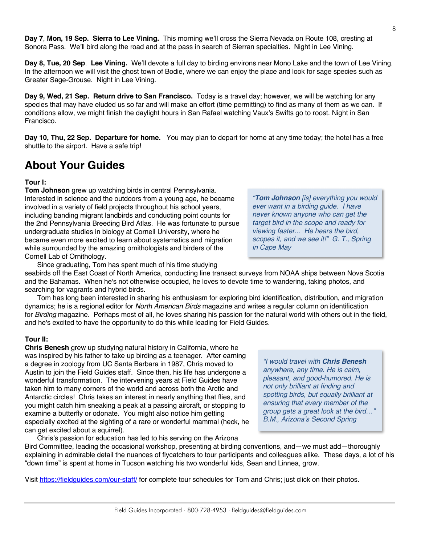**Day 7**, **Mon, 19 Sep. Sierra to Lee Vining.** This morning we'll cross the Sierra Nevada on Route 108, cresting at Sonora Pass. We'll bird along the road and at the pass in search of Sierran specialties. Night in Lee Vining.

**Day 8, Tue, 20 Sep**. **Lee Vining.** We'll devote a full day to birding environs near Mono Lake and the town of Lee Vining. In the afternoon we will visit the ghost town of Bodie, where we can enjoy the place and look for sage species such as Greater Sage-Grouse. Night in Lee Vining.

**Day 9, Wed, 21 Sep. Return drive to San Francisco.** Today is a travel day; however, we will be watching for any species that may have eluded us so far and will make an effort (time permitting) to find as many of them as we can. If conditions allow, we might finish the daylight hours in San Rafael watching Vaux's Swifts go to roost. Night in San Francisco.

**Day 10, Thu, 22 Sep. Departure for home.** You may plan to depart for home at any time today; the hotel has a free shuttle to the airport. Have a safe trip!

#### **About Your Guides**

#### **Tour I:**

**Tom Johnson** grew up watching birds in central Pennsylvania. Interested in science and the outdoors from a young age, he became involved in a variety of field projects throughout his school years, including banding migrant landbirds and conducting point counts for the 2nd Pennsylvania Breeding Bird Atlas. He was fortunate to pursue undergraduate studies in biology at Cornell University, where he became even more excited to learn about systematics and migration while surrounded by the amazing ornithologists and birders of the Cornell Lab of Ornithology.

Since graduating, Tom has spent much of his time studying seabirds off the East Coast of North America, conducting line transect surveys from NOAA ships between Nova Scotia and the Bahamas. When he's not otherwise occupied, he loves to devote time to wandering, taking photos, and searching for vagrants and hybrid birds.

Tom has long been interested in sharing his enthusiasm for exploring bird identification, distribution, and migration dynamics; he is a regional editor for *North American Birds* magazine and writes a regular column on identification for *Birding* magazine. Perhaps most of all, he loves sharing his passion for the natural world with others out in the field, and he's excited to have the opportunity to do this while leading for Field Guides.

#### **Tour II:**

**Chris Benesh** grew up studying natural history in California, where he was inspired by his father to take up birding as a teenager. After earning a degree in zoology from UC Santa Barbara in 1987, Chris moved to Austin to join the Field Guides staff. Since then, his life has undergone a wonderful transformation. The intervening years at Field Guides have taken him to many corners of the world and across both the Arctic and Antarctic circles! Chris takes an interest in nearly anything that flies, and you might catch him sneaking a peak at a passing aircraft, or stopping to examine a butterfly or odonate. You might also notice him getting especially excited at the sighting of a rare or wonderful mammal (heck, he can get excited about a squirrel).

*"I would travel with Chris Benesh anywhere, any time. He is calm, pleasant, and good-humored. He is not only brilliant at finding and spotting birds, but equally brilliant at ensuring that every member of the group gets a great look at the bird…" B.M., Arizona's Second Spring*

Chris's passion for education has led to his serving on the Arizona Bird Committee, leading the occasional workshop, presenting at birding conventions, and—we must add—thoroughly explaining in admirable detail the nuances of flycatchers to tour participants and colleagues alike. These days, a lot of his "down time" is spent at home in Tucson watching his two wonderful kids, Sean and Linnea, grow.

Visit https://fieldguides.com/our-staff/ for complete tour schedules for Tom and Chris; just click on their photos.

*"Tom Johnson [is] everything you would ever want in a birding guide. I have never known anyone who can get the target bird in the scope and ready for viewing faster... He hears the bird, scopes it, and we see it!" G. T., Spring* 

*in Cape May*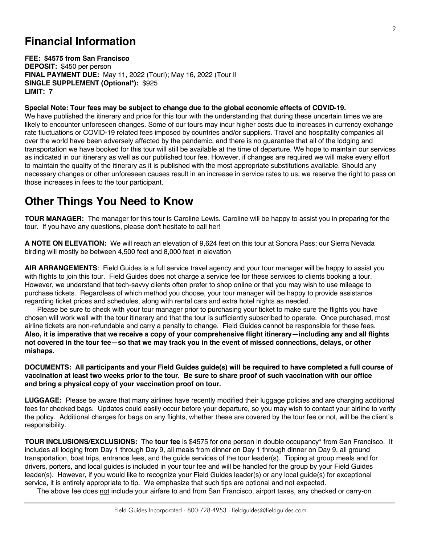#### **Financial Information**

**FEE: \$4575 from San Francisco DEPOSIT:** \$450 per person **FINAL PAYMENT DUE:** May 11, 2022 (TourI); May 16, 2022 (Tour II **SINGLE SUPPLEMENT (Optional\*):** \$925 **LIMIT: 7**

**Special Note: Tour fees may be subject to change due to the global economic effects of COVID-19.**

We have published the itinerary and price for this tour with the understanding that during these uncertain times we are likely to encounter unforeseen changes. Some of our tours may incur higher costs due to increases in currency exchange rate fluctuations or COVID-19 related fees imposed by countries and/or suppliers. Travel and hospitality companies all over the world have been adversely affected by the pandemic, and there is no guarantee that all of the lodging and transportation we have booked for this tour will still be available at the time of departure. We hope to maintain our services as indicated in our itinerary as well as our published tour fee. However, if changes are required we will make every effort to maintain the quality of the itinerary as it is published with the most appropriate substitutions available. Should any necessary changes or other unforeseen causes result in an increase in service rates to us, we reserve the right to pass on those increases in fees to the tour participant.

#### **Other Things You Need to Know**

**TOUR MANAGER:** The manager for this tour is Caroline Lewis. Caroline will be happy to assist you in preparing for the tour. If you have any questions, please don't hesitate to call her!

**A NOTE ON ELEVATION:** We will reach an elevation of 9,624 feet on this tour at Sonora Pass; our Sierra Nevada birding will mostly be between 4,500 feet and 8,000 feet in elevation

**AIR ARRANGEMENTS**: Field Guides is a full service travel agency and your tour manager will be happy to assist you with flights to join this tour. Field Guides does not charge a service fee for these services to clients booking a tour. However, we understand that tech-savvy clients often prefer to shop online or that you may wish to use mileage to purchase tickets. Regardless of which method you choose, your tour manager will be happy to provide assistance regarding ticket prices and schedules, along with rental cars and extra hotel nights as needed.

Please be sure to check with your tour manager prior to purchasing your ticket to make sure the flights you have chosen will work well with the tour itinerary and that the tour is sufficiently subscribed to operate. Once purchased, most airline tickets are non-refundable and carry a penalty to change. Field Guides cannot be responsible for these fees. **Also, it is imperative that we receive a copy of your comprehensive flight itinerary—including any and all flights not covered in the tour fee—so that we may track you in the event of missed connections, delays, or other mishaps.**

**DOCUMENTS: All participants and your Field Guides guide(s) will be required to have completed a full course of vaccination at least two weeks prior to the tour. Be sure to share proof of such vaccination with our office and bring a physical copy of your vaccination proof on tour.**

**LUGGAGE:** Please be aware that many airlines have recently modified their luggage policies and are charging additional fees for checked bags. Updates could easily occur before your departure, so you may wish to contact your airline to verify the policy. Additional charges for bags on any flights, whether these are covered by the tour fee or not, will be the client's responsibility.

**TOUR INCLUSIONS/EXCLUSIONS:** The **tour fee** is \$4575 for one person in double occupancy\* from San Francisco. It includes all lodging from Day 1 through Day 9, all meals from dinner on Day 1 through dinner on Day 9, all ground transportation, boat trips, entrance fees, and the guide services of the tour leader(s). Tipping at group meals and for drivers, porters, and local guides is included in your tour fee and will be handled for the group by your Field Guides leader(s). However, if you would like to recognize your Field Guides leader(s) or any local guide(s) for exceptional service, it is entirely appropriate to tip. We emphasize that such tips are optional and not expected.

The above fee does not include your airfare to and from San Francisco, airport taxes, any checked or carry-on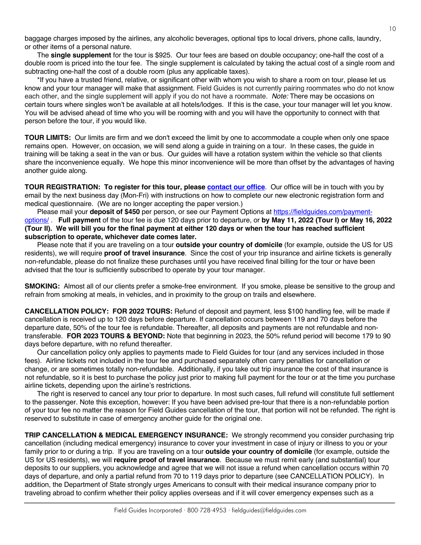baggage charges imposed by the airlines, any alcoholic beverages, optional tips to local drivers, phone calls, laundry, or other items of a personal nature.

The **single supplement** for the tour is \$925. Our tour fees are based on double occupancy; one-half the cost of a double room is priced into the tour fee. The single supplement is calculated by taking the actual cost of a single room and subtracting one-half the cost of a double room (plus any applicable taxes).

\*If you have a trusted friend, relative, or significant other with whom you wish to share a room on tour, please let us know and your tour manager will make that assignment. Field Guides is not currently pairing roommates who do not know each other, and the single supplement will apply if you do not have a roommate. *Note:* There may be occasions on certain tours where singles won't be available at all hotels/lodges. If this is the case, your tour manager will let you know. You will be advised ahead of time who you will be rooming with and you will have the opportunity to connect with that person before the tour, if you would like.

**TOUR LIMITS:** Our limits are firm and we don't exceed the limit by one to accommodate a couple when only one space remains open. However, on occasion, we will send along a guide in training on a tour. In these cases, the guide in training will be taking a seat in the van or bus. Our guides will have a rotation system within the vehicle so that clients share the inconvenience equally. We hope this minor inconvenience will be more than offset by the advantages of having another guide along.

**TOUR REGISTRATION: To register for this tour, please [contact our office](https://fieldguides.com/contact-us/)**. Our office will be in touch with you by email by the next business day (Mon-Fri) with instructions on how to complete our new electronic registration form and medical questionnaire. (We are no longer accepting the paper version.)

Please mail your **deposit of \$450** per person, or see our Payment Options at https://fieldquides.com/payment[options/](https://fieldguides.com/payment-options/) . **Full payment** of the tour fee is due 120 days prior to departure, or **by May 11, 2022 (Tour I) or May 16, 2022 (Tour II). We will bill you for the final payment at either 120 days or when the tour has reached sufficient subscription to operate, whichever date comes later.**

Please note that if you are traveling on a tour **outside your country of domicile** (for example, outside the US for US residents), we will require **proof of travel insurance**. Since the cost of your trip insurance and airline tickets is generally non-refundable, please do not finalize these purchases until you have received final billing for the tour or have been advised that the tour is sufficiently subscribed to operate by your tour manager.

**SMOKING:** Almost all of our clients prefer a smoke-free environment. If you smoke, please be sensitive to the group and refrain from smoking at meals, in vehicles, and in proximity to the group on trails and elsewhere.

**CANCELLATION POLICY: FOR 2022 TOURS:** Refund of deposit and payment, less \$100 handling fee, will be made if cancellation is received up to 120 days before departure. If cancellation occurs between 119 and 70 days before the departure date, 50% of the tour fee is refundable. Thereafter, all deposits and payments are not refundable and nontransferable. **FOR 2023 TOURS & BEYOND:** Note that beginning in 2023, the 50% refund period will become 179 to 90 days before departure, with no refund thereafter.

Our cancellation policy only applies to payments made to Field Guides for tour (and any services included in those fees). Airline tickets not included in the tour fee and purchased separately often carry penalties for cancellation or change, or are sometimes totally non-refundable. Additionally, if you take out trip insurance the cost of that insurance is not refundable, so it is best to purchase the policy just prior to making full payment for the tour or at the time you purchase airline tickets, depending upon the airline's restrictions.

The right is reserved to cancel any tour prior to departure. In most such cases, full refund will constitute full settlement to the passenger. Note this exception, however: If you have been advised pre-tour that there is a non-refundable portion of your tour fee no matter the reason for Field Guides cancellation of the tour, that portion will not be refunded. The right is reserved to substitute in case of emergency another guide for the original one.

**TRIP CANCELLATION & MEDICAL EMERGENCY INSURANCE:** We strongly recommend you consider purchasing trip cancellation (including medical emergency) insurance to cover your investment in case of injury or illness to you or your family prior to or during a trip. If you are traveling on a tour **outside your country of domicile** (for example, outside the US for US residents), we will **require proof of travel insurance**. Because we must remit early (and substantial) tour deposits to our suppliers, you acknowledge and agree that we will not issue a refund when cancellation occurs within 70 days of departure, and only a partial refund from 70 to 119 days prior to departure (see CANCELLATION POLICY). In addition, the Department of State strongly urges Americans to consult with their medical insurance company prior to traveling abroad to confirm whether their policy applies overseas and if it will cover emergency expenses such as a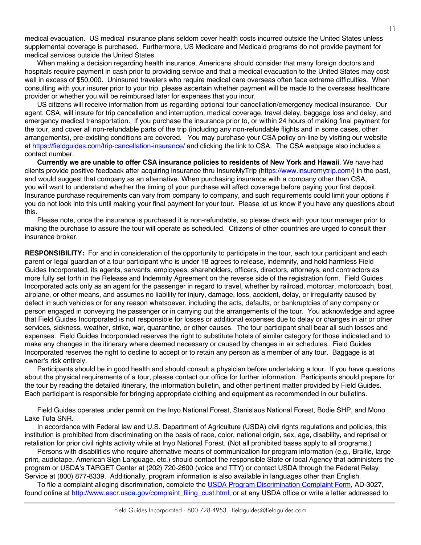medical evacuation. US medical insurance plans seldom cover health costs incurred outside the United States unless supplemental coverage is purchased. Furthermore, US Medicare and Medicaid programs do not provide payment for medical services outside the United States.

When making a decision regarding health insurance, Americans should consider that many foreign doctors and hospitals require payment in cash prior to providing service and that a medical evacuation to the United States may cost well in excess of \$50,000. Uninsured travelers who require medical care overseas often face extreme difficulties. When consulting with your insurer prior to your trip, please ascertain whether payment will be made to the overseas healthcare provider or whether you will be reimbursed later for expenses that you incur.

US citizens will receive information from us regarding optional tour cancellation/emergency medical insurance. Our agent, CSA, will insure for trip cancellation and interruption, medical coverage, travel delay, baggage loss and delay, and emergency medical transportation. If you purchase the insurance prior to, or within 24 hours of making final payment for the tour, and cover all non-refundable parts of the trip (including any non-refundable flights and in some cases, other arrangements), pre-existing conditions are covered. You may purchase your CSA policy on-line by visiting our website at https://fieldguides.com/trip-cancellation-insurance/ and clicking the link to CSA. The CSA webpage also includes a contact number.

**Currently we are unable to offer CSA insurance policies to residents of New York and Hawaii**. We have had clients provide positive feedback after acquiring insurance thru InsureMyTrip (https://www.insuremytrip.com/) in the past, and would suggest that company as an alternative. When purchasing insurance with a company other than CSA, you will want to understand whether the timing of your purchase will affect coverage before paying your first deposit. Insurance purchase requirements can vary from company to company, and such requirements could limit your options if you do not look into this until making your final payment for your tour. Please let us know if you have any questions about this.

Please note, once the insurance is purchased it is non-refundable, so please check with your tour manager prior to making the purchase to assure the tour will operate as scheduled. Citizens of other countries are urged to consult their insurance broker.

**RESPONSIBILITY:** For and in consideration of the opportunity to participate in the tour, each tour participant and each parent or legal guardian of a tour participant who is under 18 agrees to release, indemnify, and hold harmless Field Guides Incorporated, its agents, servants, employees, shareholders, officers, directors, attorneys, and contractors as more fully set forth in the Release and Indemnity Agreement on the reverse side of the registration form. Field Guides Incorporated acts only as an agent for the passenger in regard to travel, whether by railroad, motorcar, motorcoach, boat, airplane, or other means, and assumes no liability for injury, damage, loss, accident, delay, or irregularity caused by defect in such vehicles or for any reason whatsoever, including the acts, defaults, or bankruptcies of any company or person engaged in conveying the passenger or in carrying out the arrangements of the tour. You acknowledge and agree that Field Guides Incorporated is not responsible for losses or additional expenses due to delay or changes in air or other services, sickness, weather, strike, war, quarantine, or other causes. The tour participant shall bear all such losses and expenses. Field Guides Incorporated reserves the right to substitute hotels of similar category for those indicated and to make any changes in the itinerary where deemed necessary or caused by changes in air schedules. Field Guides Incorporated reserves the right to decline to accept or to retain any person as a member of any tour. Baggage is at owner's risk entirely.

Participants should be in good health and should consult a physician before undertaking a tour. If you have questions about the physical requirements of a tour, please contact our office for further information. Participants should prepare for the tour by reading the detailed itinerary, the information bulletin, and other pertinent matter provided by Field Guides. Each participant is responsible for bringing appropriate clothing and equipment as recommended in our bulletins.

Field Guides operates under permit on the Inyo National Forest, Stanislaus National Forest, Bodie SHP, and Mono Lake Tufa SNR.

In accordance with Federal law and U.S. Department of Agriculture (USDA) civil rights regulations and policies, this institution is prohibited from discriminating on the basis of race, color, national origin, sex, age, disability, and reprisal or retaliation for prior civil rights activity while at Inyo National Forest. (Not all prohibited bases apply to all programs.)

Persons with disabilities who require alternative means of communication for program information (e.g., Braille, large print, audiotape, American Sign Language, etc.) should contact the responsible State or local Agency that administers the program or USDA's TARGET Center at (202) 720-2600 (voice and TTY) or contact USDA through the Federal Relay Service at (800) 877-8339. Additionally, program information is also available in languages other than English.

To file a complaint alleging discrimination, complete the USDA Program Discrimination Complaint Form, AD-3027, found online at http://www.ascr.usda.gov/complaint\_filing\_cust.html, or at any USDA office or write a letter addressed to